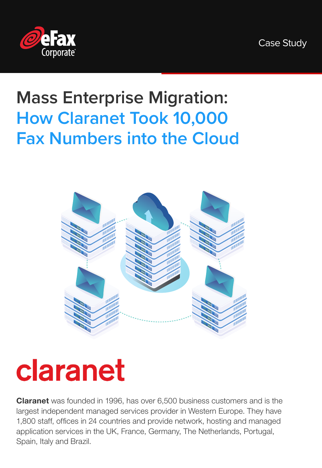Case Study



### **Mass Enterprise Migration: How Claranet Took 10,000 Fax Numbers into the Cloud**



## claranet

**Claranet** was founded in 1996, has over 6,500 business customers and is the largest independent managed services provider in Western Europe. They have 1,800 staff, offices in 24 countries and provide network, hosting and managed application services in the UK, France, Germany, The Netherlands, Portugal, Spain, Italy and Brazil.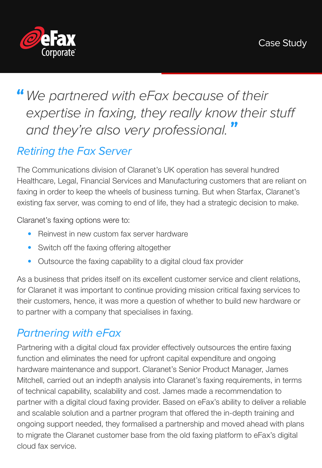

### *We partnered with eFax because of their expertise in faxing, they really know their stuff and they're also very professional.*

#### *Retiring the Fax Server*

The Communications division of Claranet's UK operation has several hundred Healthcare, Legal, Financial Services and Manufacturing customers that are reliant on faxing in order to keep the wheels of business turning. But when Starfax, Claranet's existing fax server, was coming to end of life, they had a strategic decision to make.

Claranet's faxing options were to:

- Reinvest in new custom fax server hardware
- Switch off the faxing offering altogether
- Outsource the faxing capability to a digital cloud fax provider

As a business that prides itself on its excellent customer service and client relations, for Claranet it was important to continue providing mission critical faxing services to their customers, hence, it was more a question of whether to build new hardware or to partner with a company that specialises in faxing.

#### *Partnering with eFax*

Partnering with a digital cloud fax provider effectively outsources the entire faxing function and eliminates the need for upfront capital expenditure and ongoing hardware maintenance and support. Claranet's Senior Product Manager, James Mitchell, carried out an indepth analysis into Claranet's faxing requirements, in terms of technical capability, scalability and cost. James made a recommendation to partner with a digital cloud faxing provider. Based on eFax's ability to deliver a reliable and scalable solution and a partner program that offered the in-depth training and ongoing support needed, they formalised a partnership and moved ahead with plans to migrate the Claranet customer base from the old faxing platform to eFax's digital cloud fax service.